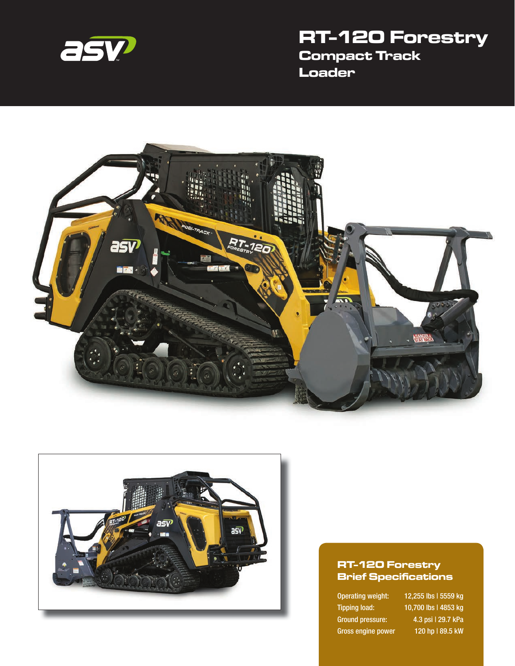

# **RT-120 Forestry Compact Track Loader**





#### **RT-120 Forestry Brief Specifications**

Gross engine power 120 hp | 89.5 kW

Operating weight: 12,255 lbs | 5559 kg Tipping load: 10,700 lbs | 4853 kg Ground pressure: 4.3 psi | 29.7 kPa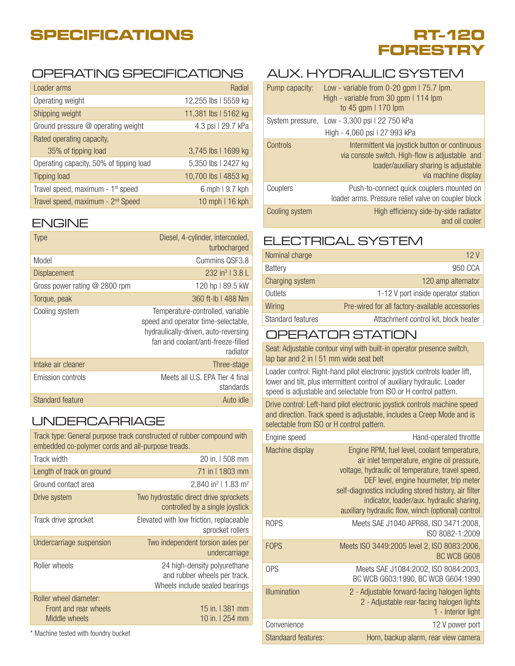# **SPECIFICATIONS**

# **RT-120 FORESTRY**

### OPERATING SPECIFICATIONS

| Loader arms                                   | Radial               |
|-----------------------------------------------|----------------------|
| Operating weight                              | 12,255 lbs   5559 kg |
| Shipping weight                               | 11,381 lbs   5162 kg |
| Ground pressure @ operating weight            | 4.3 psi   29.7 kPa   |
| Rated operating capacity,                     |                      |
| 35% of tipping load                           | 3,745 lbs   1699 kg  |
| Operating capacity, 50% of tipping load       | 5,350 lbs   2427 kg  |
| <b>Tipping load</b>                           | 10,700 lbs   4853 kg |
| Travel speed, maximum - 1 <sup>st</sup> speed | 6 mph   9.7 kph      |
| Travel speed, maximum - 2 <sup>nd</sup> Speed | 10 mph   16 kph      |

#### ENGINE

| Type                          | Diesel, 4-cylinder, intercooled,<br>turbocharged                                                                                                                  |
|-------------------------------|-------------------------------------------------------------------------------------------------------------------------------------------------------------------|
| Model                         | Cummins QSF3.8                                                                                                                                                    |
| <b>Displacement</b>           | 232 in <sup>3</sup>   3.8 L                                                                                                                                       |
| Gross power rating @ 2800 rpm | 120 hp   89.5 kW                                                                                                                                                  |
| Torque, peak                  | 360 ft-lb   488 Nm                                                                                                                                                |
| Cooling system                | Temperature-controlled, variable<br>speed and operator time-selectable,<br>hydraulically-driven, auto-reversing<br>fan and coolant/anti-freeze-filled<br>radiator |
| Intake air cleaner            | Three-stage                                                                                                                                                       |
| Emission controls             | Meets all U.S. EPA Tier 4 final<br>standards                                                                                                                      |
| Standard feature              | Auto idle                                                                                                                                                         |
|                               |                                                                                                                                                                   |

### UNDERCARRIAGE

| Track type: General purpose track constructed of rubber compound with<br>embedded co-polymer cords and all-purpose treads. |                                                                                                |  |
|----------------------------------------------------------------------------------------------------------------------------|------------------------------------------------------------------------------------------------|--|
| Track width                                                                                                                | 20 in. 1508 mm                                                                                 |  |
| Length of track on ground                                                                                                  | 71 in 11803 mm                                                                                 |  |
| Ground contact area                                                                                                        | 2,840 in <sup>2</sup>   1.83 m <sup>2</sup>                                                    |  |
| Drive system                                                                                                               | Two hydrostatic direct drive sprockets<br>controlled by a single joystick                      |  |
| Track drive sprocket                                                                                                       | Elevated with low friction, replaceable<br>sprocket rollers                                    |  |
| Undercarriage suspension                                                                                                   | Two independent torsion axles per<br>undercarriage                                             |  |
| Roller wheels                                                                                                              | 24 high-density polyurethane<br>and rubber wheels per track.<br>Wheels include sealed bearings |  |
| Roller wheel diameter:<br>Front and rear wheels<br>Middle wheels                                                           | 15 in.   381 mm<br>10 in. 1 254 mm                                                             |  |

\* Machine tested with foundry bucket

### AUX. HYDRAULIC SYSTEM

| Pump capacity:   | Low - variable from $0-20$ gpm $175.7$ lpm.<br>High - variable from 30 gpm   114 lpm<br>to 45 gpm   170 lpm                                                        |
|------------------|--------------------------------------------------------------------------------------------------------------------------------------------------------------------|
| System pressure, | Low - 3,300 psi   22 750 kPa<br>High - 4,060 psi   27 993 kPa                                                                                                      |
| Controls         | Intermittent via joystick button or continuous<br>via console switch. High-flow is adjustable and<br>loader/auxiliary sharing is adjustable<br>via machine display |
| Couplers         | Push-to-connect quick couplers mounted on<br>loader arms. Pressure relief valve on coupler block                                                                   |
| Cooling system   | High efficiency side-by-side radiator<br>and oil cooler                                                                                                            |

### ELECTRICAL SYSTEM

| Nominal charge           | 12 V                                            |
|--------------------------|-------------------------------------------------|
| Battery                  | 950 CCA                                         |
| Charging system          | 120 amp alternator                              |
| Outlets                  | 1-12 V port inside operator station             |
| Wiring                   | Pre-wired for all factory-available accessories |
| <b>Standard features</b> | Attachment control kit, block heater            |
|                          |                                                 |

#### OPERATOR STATION

Seat: Adjustable contour vinyl with built-in operator presence switch, lap bar and 2 in | 51 mm wide seat belt

Loader control: Right-hand pilot electronic joystick controls loader lift, lower and tilt, plus intermittent control of auxiliary hydraulic. Loader speed is adjustable and selectable from ISO or H control pattern.

Drive control: Left-hand pilot electronic joystick controls machine speed and direction. Track speed is adjustable, includes a Creep Mode and is selectable from ISO or H control pattern.

| Engine speed        | Hand-operated throttle                                                                                                                                                                                                                                                                                                                                  |
|---------------------|---------------------------------------------------------------------------------------------------------------------------------------------------------------------------------------------------------------------------------------------------------------------------------------------------------------------------------------------------------|
| Machine display     | Engine RPM, fuel level, coolant temperature,<br>air inlet temperature, engine oil pressure,<br>voltage, hydraulic oil temperature, travel speed,<br>DEF level, engine hourmeter, trip meter<br>self-diagnostics including stored history, air filter<br>indicator, loader/aux. hydraulic sharing,<br>auxiliary hydraulic flow, winch (optional) control |
| <b>ROPS</b>         | Meets SAE J1040 APR88, ISO 3471:2008,<br>ISO 8082-1:2009                                                                                                                                                                                                                                                                                                |
| <b>FOPS</b>         | Meets ISO 3449:2005 level 2, ISO 8083:2006,<br>BC WCB G608                                                                                                                                                                                                                                                                                              |
| OPS                 | Meets SAE J1084:2002, ISO 8084:2003,<br>BC WCB G603:1990, BC WCB G604:1990                                                                                                                                                                                                                                                                              |
| <b>Illumination</b> | 2 - Adjustable forward-facing halogen lights<br>2 - Adjustable rear-facing halogen lights<br>1 - Interior light                                                                                                                                                                                                                                         |
| Convenience         | 12 V power port                                                                                                                                                                                                                                                                                                                                         |
| Standaard features: | Horn, backup alarm, rear view camera                                                                                                                                                                                                                                                                                                                    |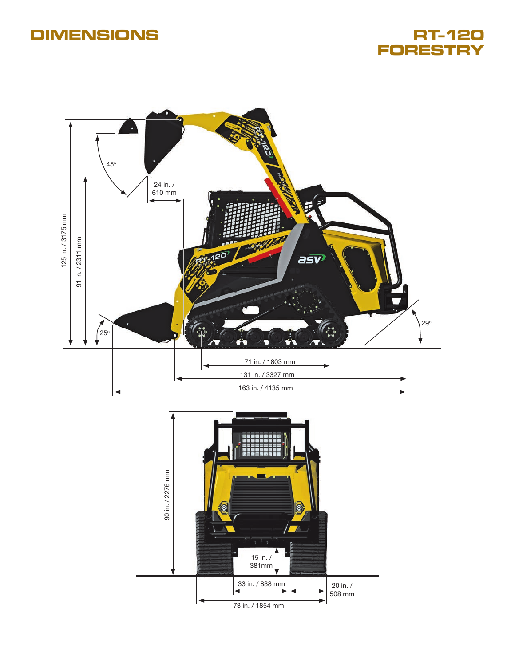## **DIMENSIONS**